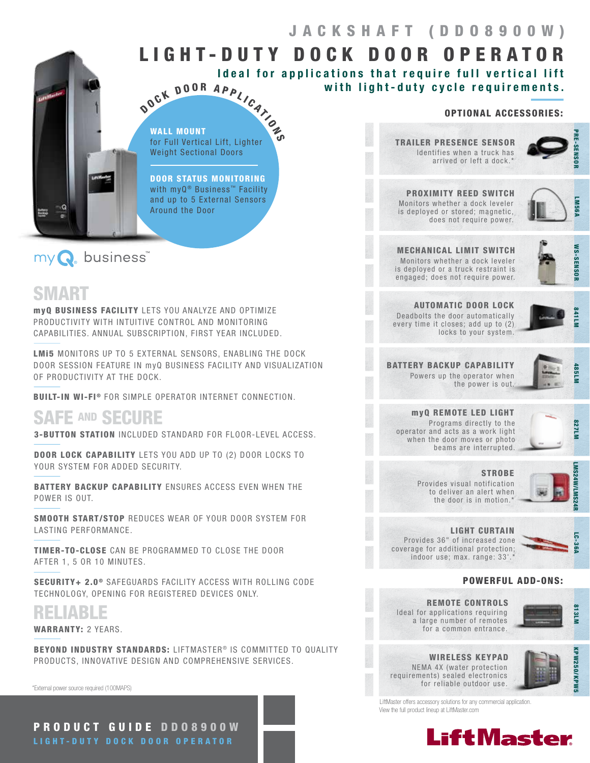# LIGHT-DUTY DOCK DOOR OPERATOR Ideal for applications that require full vertical lift

### OPTIONAL ACCESSORIES:

Identifies when a truck has arrived or left a dock.<sup>\*</sup> TRAILER PRESENCE SENSOR

with light-duty cycle requirements.

RE-SENSOR

Monitors whether a dock leveler is deployed or stored; magnetic, does not require power. PROXIMITY REED SWITCH



MECHANICAL LIMIT SWITCH Monitors whether a dock leveler is deployed or a truck restraint is engaged; does not require power.



AUTOMATIC DOOR LOCK Deadbolts the door automatically every time it closes; add up to (2) locks to your system.



BATTERY BACKUP CAPABILITY Powers up the operator when the power is out.



myQ REMOTE LED LIGHT Programs directly to the operator and acts as a work light when the door moves or photo beams are interrupted.



**STROBE** Provides visual notification to deliver an alert when the door is in motion.<sup>\*</sup>



LIGHT CURTAIN Provides 36" of increased zone coverage for additional protection;

indoor use; max. range: 33'.



813LM

KPW250/KPW5

KPW250/KPW!

POWERFUL ADD-ONS:

Ideal for applications requiring a large number of remotes for a common entrance. REMOTE CONTROLS



NEMA 4X (water protection requirements) sealed electronics for reliable outdoor use. WIRELESS KEYPAD



LiftMaster offers accessory solutions for any commercial application. View the full product lineup at LiftMaster.com



WALL MOUNT for Full Vertical Lift, Lighter Weight Sectional Doors OCK DOOR APPLICATION

DOOR STATUS MONITORING with myQ<sup>®</sup> Business<sup>™</sup> Facility and up to 5 External Sensors Around the Door

# my Q. business

# SMART

 $\neg$  Q ₩

myQ BUSINESS FACILITY LETS YOU ANALYZE AND OPTIMIZE PRODUCTIVITY WITH INTUITIVE CONTROL AND MONITORING CAPABILITIES. ANNUAL SUBSCRIPTION, FIRST YEAR INCLUDED.

 $\bm{\delta}$ 

LMI5 MONITORS UP TO 5 EXTERNAL SENSORS, ENABLING THE DOCK DOOR SESSION FEATURE IN myQ BUSINESS FACILITY AND VISUALIZATION OF PRODUCTIVITY AT THE DOCK.

BUILT-IN WI-FI<sup>®</sup> FOR SIMPLE OPERATOR INTERNET CONNECTION.

# SAFE AND SECURE

3-BUTTON STATION INCLUDED STANDARD FOR FLOOR-LEVEL ACCESS.

DOOR LOCK CAPABILITY LETS YOU ADD UP TO (2) DOOR LOCKS TO YOUR SYSTEM FOR ADDED SECURITY.

BATTERY BACKUP CAPABILITY ENSURES ACCESS EVEN WHEN THE POWER IS OUT.

SMOOTH START/STOP REDUCES WEAR OF YOUR DOOR SYSTEM FOR LASTING PERFORMANCE.

TIMER-TO-CLOSE CAN BE PROGRAMMED TO CLOSE THE DOOR AFTER 1, 5 OR 10 MINUTES.

SECURITY+ 2.0<sup>®</sup> SAFEGUARDS FACILITY ACCESS WITH ROLLING CODE TECHNOLOGY, OPENING FOR REGISTERED DEVICES ONLY.

RELIABLE

WARRANTY: 2 YEARS.

**BEYOND INDUSTRY STANDARDS: LIFTMASTER® IS COMMITTED TO QUALITY** PRODUCTS, INNOVATIVE DESIGN AND COMPREHENSIVE SERVICES.

\*External power source required (100MAPS)

PRODUCT GUIDE DDO8900W LIGHT-DUTY DOCK DOOR OPERATOR